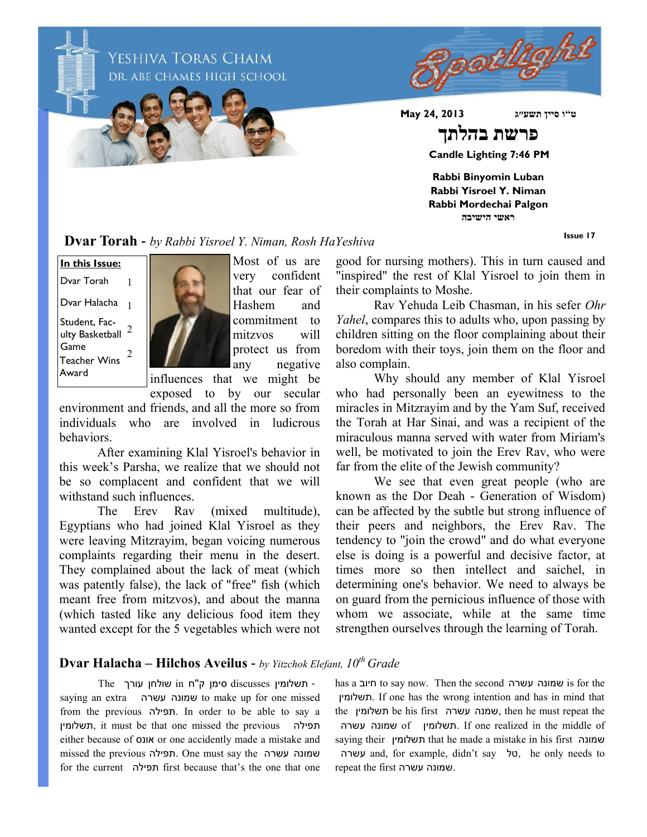

**Issue 17**

**Dvar Torah -** *by Rabbi Yisroel Y. Niman, Rosh HaYeshiva*

Student, Fac- $^{\circ}$ ulty Basketball  $^{\circ}$ Game **In this Issue:** Dvar Torah Dvar Halacha 1 1 Teacher Wins Award 2



Most of us are very confident that our fear of Hashem and commitment to mitzvos will protect us from any negative influences that we might be

exposed to by our secular

environment and friends, and all the more so from individuals who are involved in ludicrous behaviors.

After examining Klal Yisroel's behavior in this week's Parsha, we realize that we should not be so complacent and confident that we will withstand such influences.

The Erev Rav (mixed multitude), Egyptians who had joined Klal Yisroel as they were leaving Mitzrayim, began voicing numerous complaints regarding their menu in the desert. They complained about the lack of meat (which was patently false), the lack of "free" fish (which meant free from mitzvos), and about the manna (which tasted like any delicious food item they wanted except for the 5 vegetables which were not good for nursing mothers). This in turn caused and "inspired" the rest of Klal Yisroel to join them in their complaints to Moshe.

Rav Yehuda Leib Chasman, in his sefer *Ohr Yahel*, compares this to adults who, upon passing by children sitting on the floor complaining about their boredom with their toys, join them on the floor and also complain.

Why should any member of Klal Yisroel who had personally been an eyewitness to the miracles in Mitzrayim and by the Yam Suf, received the Torah at Har Sinai, and was a recipient of the miraculous manna served with water from Miriam's well, be motivated to join the Erev Rav, who were far from the elite of the Jewish community?

We see that even great people (who are known as the Dor Deah - Generation of Wisdom) can be affected by the subtle but strong influence of their peers and neighbors, the Erev Rav. The tendency to "join the crowd" and do what everyone else is doing is a powerful and decisive factor, at times more so then intellect and saichel, in determining one's behavior. We need to always be on guard from the pernicious influence of those with whom we associate, while at the same time strengthen ourselves through the learning of Torah.

## **Dvar Halacha – Hilchos Aveilus -** *by Yitzchok Elefant, 10th Grade*

- תשלומין discusses סימן ק''ח in שולחן עורך The saying an extra עשרה שמונה to make up for one missed from the previous תפילה. In order to be able to say a תשלומין, it must be that one missed the previous תפילה either because of אונס or one accidently made a mistake and missed the previous תפילה. One must say the עשרה שמונה for the current תפילה first because that's the one that one has a חיוב to say now. Then the second עשרה שמונה is for the תשלומין. If one has the wrong intention and has in mind that the תשלומין be his first עשרה שמנה, then he must repeat the תשלומין of nthe middle of תשלומין. If one realized in the middle of saying their תשלומין that he made a mistake in his first שמונה עשרה and, for example, didn't say טל, he only needs to repeat the first עשרה שמונה.